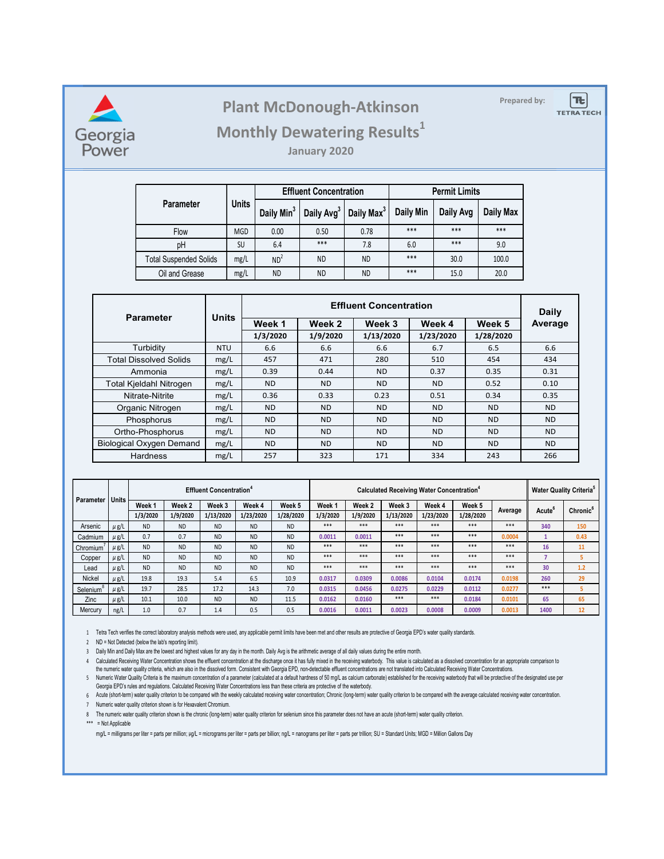

## **Prepared by: Plant McDonough-Atkinson**



### **Monthly Dewatering Results<sup>1</sup>**

**January 2020**

|                               | <b>Units</b> |                        | <b>Effluent Concentration</b> |                        | <b>Permit Limits</b> |           |           |  |
|-------------------------------|--------------|------------------------|-------------------------------|------------------------|----------------------|-----------|-----------|--|
| Parameter                     |              | Daily Min <sup>3</sup> | Daily Avg <sup>3</sup>        | Daily Max <sup>3</sup> | Daily Min            | Daily Avg | Daily Max |  |
| Flow                          | <b>MGD</b>   | 0.00                   | 0.50                          | 0.78                   | $***$                | $***$     | $***$     |  |
| pH                            | SU           | 6.4                    | $***$                         | 7.8                    | 6.0                  | $***$     | 9.0       |  |
| <b>Total Suspended Solids</b> | mg/L         | ND <sup>2</sup>        | <b>ND</b>                     | ND.                    | ***                  | 30.0      | 100.0     |  |
| Oil and Grease<br>mg/L        |              | <b>ND</b>              | <b>ND</b>                     | <b>ND</b>              | $***$                | 15.0      | 20.0      |  |

|                                 | <b>Units</b> |           | Daily     |           |           |           |           |
|---------------------------------|--------------|-----------|-----------|-----------|-----------|-----------|-----------|
| <b>Parameter</b>                |              | Week 1    | Week 2    | Week 3    | Week 4    | Week 5    | Average   |
|                                 |              | 1/3/2020  | 1/9/2020  | 1/13/2020 | 1/23/2020 | 1/28/2020 |           |
| Turbidity                       | <b>NTU</b>   | 6.6       | 6.6       | 6.6       | 6.7       | 6.5       | 6.6       |
| <b>Total Dissolved Solids</b>   | mg/L         | 457       | 471       | 280       | 510       | 454       | 434       |
| Ammonia                         | mg/L         | 0.39      | 0.44      | ND.       | 0.37      | 0.35      | 0.31      |
| <b>Total Kjeldahl Nitrogen</b>  | mg/L         | <b>ND</b> | <b>ND</b> | <b>ND</b> | <b>ND</b> | 0.52      | 0.10      |
| Nitrate-Nitrite                 | mg/L         | 0.36      | 0.33      | 0.23      | 0.51      | 0.34      | 0.35      |
| Organic Nitrogen                | mg/L         | <b>ND</b> | <b>ND</b> | <b>ND</b> | <b>ND</b> | <b>ND</b> | <b>ND</b> |
| Phosphorus                      | mg/L         | <b>ND</b> | <b>ND</b> | <b>ND</b> | <b>ND</b> | <b>ND</b> | <b>ND</b> |
| Ortho-Phosphorus                | mg/L         | <b>ND</b> | <b>ND</b> | <b>ND</b> | <b>ND</b> | <b>ND</b> | <b>ND</b> |
| <b>Biological Oxygen Demand</b> | mg/L         | <b>ND</b> | <b>ND</b> | <b>ND</b> | <b>ND</b> | <b>ND</b> | <b>ND</b> |
| Hardness                        | mg/L         | 257       | 323       | 171       | 334       | 243       | 266       |

| Parameter             | Units     | <b>Effluent Concentration<sup>4</sup></b> |           |           |           |           | Calculated Receiving Water Concentration <sup>4</sup> |          |           |           |           | <b>Water Quality Criteria<sup>5</sup></b> |                    |                      |
|-----------------------|-----------|-------------------------------------------|-----------|-----------|-----------|-----------|-------------------------------------------------------|----------|-----------|-----------|-----------|-------------------------------------------|--------------------|----------------------|
|                       |           | Week 1                                    | Week 2    | Week 3    | Week 4    | Week 5    | Week 1                                                | Week 2   | Week 3    | Week 4    | Week 5    | Average                                   | Acute <sup>t</sup> | Chronic <sup>6</sup> |
|                       |           | 1/3/2020                                  | 1/9/2020  | 1/13/2020 | 1/23/2020 | 1/28/2020 | 1/3/2020                                              | 1/9/2020 | 1/13/2020 | 1/23/2020 | 1/28/2020 |                                           |                    |                      |
| Arsenic               | $\mu$ g/L | <b>ND</b>                                 | <b>ND</b> | <b>ND</b> | <b>ND</b> | <b>ND</b> | ***                                                   | ***      | ***       | ***       | ***       | ***                                       | 340                | 150                  |
| Cadmium               | $\mu$ g/L | 0.7                                       | 0.7       | <b>ND</b> | <b>ND</b> | <b>ND</b> | 0.0011                                                | 0.0011   | ***       | ***       | ***       | 0.0004                                    |                    | 0.43                 |
| Chromium              | $\mu$ g/L | <b>ND</b>                                 | <b>ND</b> | <b>ND</b> | <b>ND</b> | <b>ND</b> | ***                                                   | ***      | ***       | ***       | ***       | ***                                       | 16                 | 11                   |
| Copper                | $\mu$ g/L | <b>ND</b>                                 | <b>ND</b> | <b>ND</b> | <b>ND</b> | <b>ND</b> | ***                                                   | ***      | ***       | ***       | ***       | ***                                       |                    |                      |
| Lead                  | $\mu$ g/L | <b>ND</b>                                 | <b>ND</b> | <b>ND</b> | <b>ND</b> | <b>ND</b> | ***                                                   | ***      | ***       | ***       | ***       | ***                                       | 30                 | 1.2                  |
| Nickel                | $\mu$ g/L | 19.8                                      | 19.3      | 5.4       | 6.5       | 10.9      | 0.0317                                                | 0.0309   | 0.0086    | 0.0104    | 0.0174    | 0.0198                                    | 260                | 29                   |
| Selenium <sup>®</sup> | $\mu$ g/L | 19.7                                      | 28.5      | 17.2      | 14.3      | 7.0       | 0.0315                                                | 0.0456   | 0.0275    | 0.0229    | 0.0112    | 0.0277                                    | ***                |                      |
| Zinc                  | $\mu$ g/L | 10.1                                      | 10.0      | <b>ND</b> | <b>ND</b> | 11.5      | 0.0162                                                | 0.0160   | ***       | ***       | 0.0184    | 0.0101                                    | 65                 | 65                   |
| Mercury               | ng/L      | 1.0                                       | 0.7       | 1.4       | 0.5       | 0.5       | 0.0016                                                | 0.0011   | 0.0023    | 0.0008    | 0.0009    | 0.0013                                    | 1400               | 12                   |

1 Tetra Tech verifies the correct laboratory analysis methods were used, any applicable permit limits have been met and other results are protective of Georgia EPD's water quality standards.

2 ND = Not Detected (below the lab's reporting limit).

3 Daily Min and Daily Max are the lowest and highest values for any day in the month. Daily Avg is the arithmetic average of all daily values during the entire month.

4 Calculated Receiving Water Concentration shows the effluent concentration at the discharge once it has fully mixed in the receiving waterbody. This value is calculated as a dissolved concentration for an appropriate comp 5 Numeric Water Quality Criteria is the maximum concentration of a parameter (calculated at a default nardness of 50 mg/L as calcium carbonate) established for the receiving waterbody that will be protective of the designa the numeric water quality criteria, which are also in the dissolved form. Consistent with Georgia EPD, non-detectable effluent concentrations are not translated into Calculated Receiving Water Concentrations.

6 Acute (short-term) water quality criterion to be compared with the weekly calculated receiving water concentration; Chronic (long-term) water quality criterion to be compared with the average calculated receiving water c Georgia EPD's rules and regulations. Calculated Receiving Water Concentrations less than these criteria are protective of the waterbody.

7 Numeric water quality criterion shown is for Hexavalent Chromium.

\*\*\* = Not Applicable

mg/L = milligrams per liter = parts per million; µg/L = micrograms per liter = parts per billion; ng/L = nanograms per liter = parts per trillion; SU = Standard Units; MGD = Million Gallons Day

<sup>8</sup> The numeric water quality criterion shown is the chronic (long-term) water quality criterion for selenium since this parameter does not have an acute (short-term) water quality criterion.